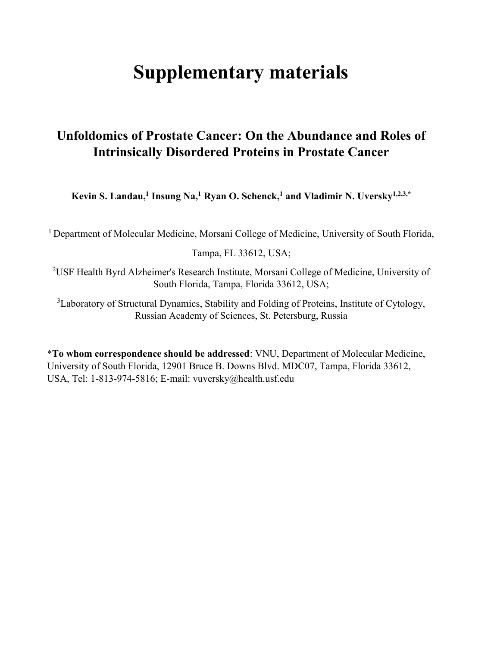## **Supplementary materials**

## **Unfoldomics of Prostate Cancer: On the Abundance and Roles of Intrinsically Disordered Proteins in Prostate Cancer**

**Kevin S. Landau, <sup>1</sup> Insung Na, <sup>1</sup> Ryan O. Schenck, <sup>1</sup> and Vladimir N. Uversky1,2,3,\***

<sup>1</sup> Department of Molecular Medicine, Morsani College of Medicine, University of South Florida,

Tampa, FL 33612, USA;

2 USF Health Byrd Alzheimer's Research Institute, Morsani College of Medicine, University of South Florida, Tampa, Florida 33612, USA;

<sup>3</sup>Laboratory of Structural Dynamics, Stability and Folding of Proteins, Institute of Cytology, Russian Academy of Sciences, St. Petersburg, Russia

\***To whom correspondence should be addressed**: VNU, Department of Molecular Medicine, University of South Florida, 12901 Bruce B. Downs Blvd. MDC07, Tampa, Florida 33612, USA, Tel: 1-813-974-5816; E-mail: vuversky@health.usf.edu